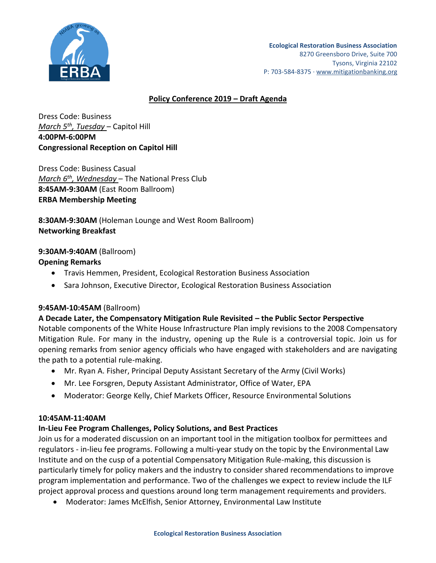

### **Policy Conference 2019 – Draft Agenda**

Dress Code: Business *March 5th , Tuesday* – Capitol Hill **4:00PM-6:00PM Congressional Reception on Capitol Hill**

Dress Code: Business Casual *March 6 th , Wednesday* – The National Press Club **8:45AM-9:30AM** (East Room Ballroom) **ERBA Membership Meeting**

**8:30AM-9:30AM** (Holeman Lounge and West Room Ballroom) **Networking Breakfast**

#### **9:30AM-9:40AM** (Ballroom)

### **Opening Remarks**

- Travis Hemmen, President, Ecological Restoration Business Association
- Sara Johnson, Executive Director, Ecological Restoration Business Association

#### **9:45AM-10:45AM** (Ballroom)

#### **A Decade Later, the Compensatory Mitigation Rule Revisited – the Public Sector Perspective**

Notable components of the White House Infrastructure Plan imply revisions to the 2008 Compensatory Mitigation Rule. For many in the industry, opening up the Rule is a controversial topic. Join us for opening remarks from senior agency officials who have engaged with stakeholders and are navigating the path to a potential rule-making.

- Mr. Ryan A. Fisher, Principal Deputy Assistant Secretary of the Army (Civil Works)
- Mr. Lee Forsgren, Deputy Assistant Administrator, Office of Water, EPA
- Moderator: George Kelly, Chief Markets Officer, Resource Environmental Solutions

#### **10:45AM-11:40AM**

#### **In-Lieu Fee Program Challenges, Policy Solutions, and Best Practices**

Join us for a moderated discussion on an important tool in the mitigation toolbox for permittees and regulators - in-lieu fee programs. Following a multi-year study on the topic by the Environmental Law Institute and on the cusp of a potential Compensatory Mitigation Rule-making, this discussion is particularly timely for policy makers and the industry to consider shared recommendations to improve program implementation and performance. Two of the challenges we expect to review include the ILF project approval process and questions around long term management requirements and providers.

Moderator: James McElfish, Senior Attorney, Environmental Law Institute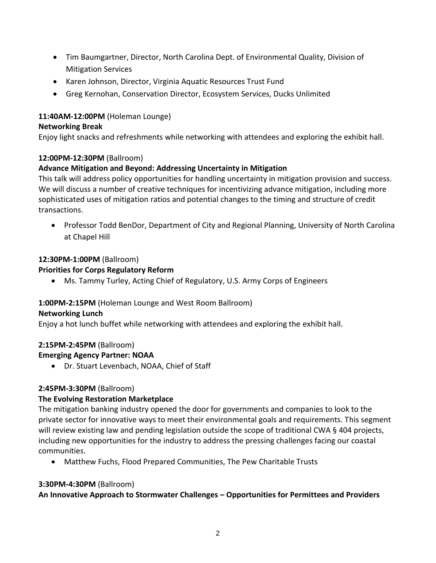- Tim Baumgartner, Director, North Carolina Dept. of Environmental Quality, Division of Mitigation Services
- Karen Johnson, Director, Virginia Aquatic Resources Trust Fund
- Greg Kernohan, Conservation Director, Ecosystem Services, Ducks Unlimited

## **11:40AM-12:00PM** (Holeman Lounge)

### **Networking Break**

Enjoy light snacks and refreshments while networking with attendees and exploring the exhibit hall.

### **12:00PM-12:30PM** (Ballroom)

# **Advance Mitigation and Beyond: Addressing Uncertainty in Mitigation**

This talk will address policy opportunities for handling uncertainty in mitigation provision and success. We will discuss a number of creative techniques for incentivizing advance mitigation, including more sophisticated uses of mitigation ratios and potential changes to the timing and structure of credit transactions.

 Professor Todd BenDor, Department of City and Regional Planning, University of North Carolina at Chapel Hill

# **12:30PM-1:00PM** (Ballroom)

# **Priorities for Corps Regulatory Reform**

Ms. Tammy Turley, Acting Chief of Regulatory, U.S. Army Corps of Engineers

# **1:00PM-2:15PM** (Holeman Lounge and West Room Ballroom)

### **Networking Lunch**

Enjoy a hot lunch buffet while networking with attendees and exploring the exhibit hall.

### **2:15PM-2:45PM** (Ballroom)

# **Emerging Agency Partner: NOAA**

Dr. Stuart Levenbach, NOAA, Chief of Staff

### **2:45PM-3:30PM** (Ballroom)

# **The Evolving Restoration Marketplace**

The mitigation banking industry opened the door for governments and companies to look to the private sector for innovative ways to meet their environmental goals and requirements. This segment will review existing law and pending legislation outside the scope of traditional CWA § 404 projects, including new opportunities for the industry to address the pressing challenges facing our coastal communities.

Matthew Fuchs, Flood Prepared Communities, The Pew Charitable Trusts

### **3:30PM-4:30PM** (Ballroom)

**An Innovative Approach to Stormwater Challenges – Opportunities for Permittees and Providers**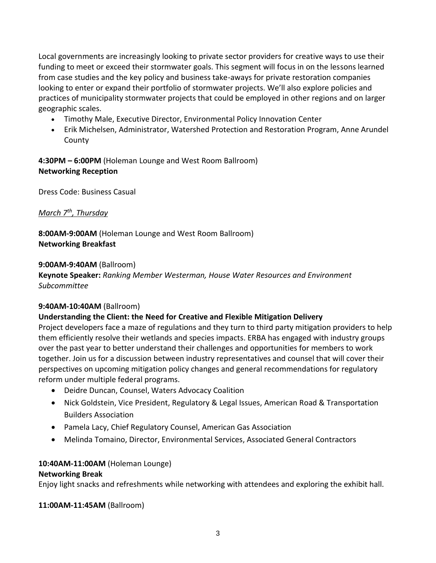Local governments are increasingly looking to private sector providers for creative ways to use their funding to meet or exceed their stormwater goals. This segment will focus in on the lessons learned from case studies and the key policy and business take-aways for private restoration companies looking to enter or expand their portfolio of stormwater projects. We'll also explore policies and practices of municipality stormwater projects that could be employed in other regions and on larger geographic scales.

- Timothy Male, Executive Director, Environmental Policy Innovation Center
- Erik Michelsen, Administrator, Watershed Protection and Restoration Program, Anne Arundel County

**4:30PM – 6:00PM** (Holeman Lounge and West Room Ballroom) **Networking Reception**

Dress Code: Business Casual

# *March 7th , Thursday*

**8:00AM-9:00AM** (Holeman Lounge and West Room Ballroom) **Networking Breakfast**

### **9:00AM-9:40AM** (Ballroom)

**Keynote Speaker:** *Ranking Member Westerman, House Water Resources and Environment Subcommittee*

### **9:40AM-10:40AM** (Ballroom)

### **Understanding the Client: the Need for Creative and Flexible Mitigation Delivery**

Project developers face a maze of regulations and they turn to third party mitigation providers to help them efficiently resolve their wetlands and species impacts. ERBA has engaged with industry groups over the past year to better understand their challenges and opportunities for members to work together. Join us for a discussion between industry representatives and counsel that will cover their perspectives on upcoming mitigation policy changes and general recommendations for regulatory reform under multiple federal programs.

- Deidre Duncan, Counsel, Waters Advocacy Coalition
- Nick Goldstein, Vice President, Regulatory & Legal Issues, American Road & Transportation Builders Association
- Pamela Lacy, Chief Regulatory Counsel, American Gas Association
- Melinda Tomaino, Director, Environmental Services, Associated General Contractors

### **10:40AM-11:00AM** (Holeman Lounge)

### **Networking Break**

Enjoy light snacks and refreshments while networking with attendees and exploring the exhibit hall.

**11:00AM-11:45AM** (Ballroom)